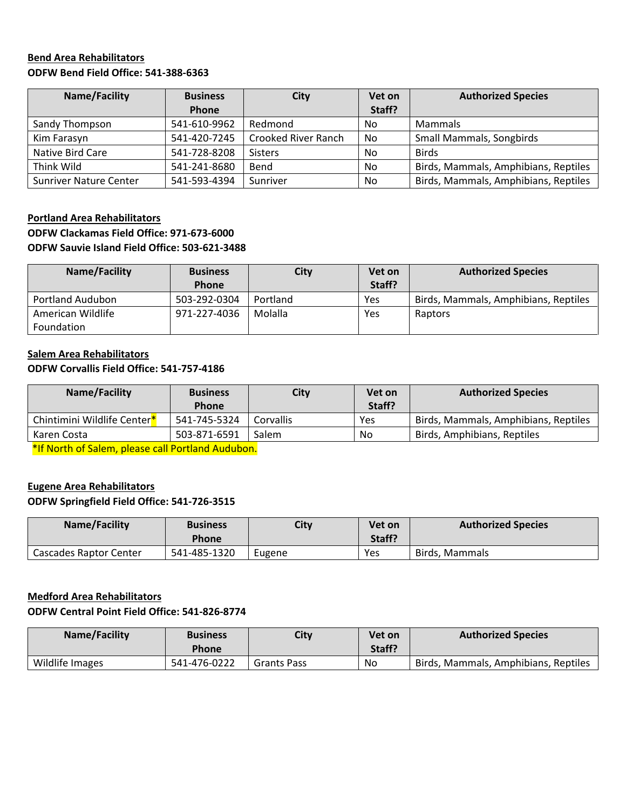#### **Bend Area Rehabilitators ODFW Bend Field Office: 541-388-6363**

| Name/Facility                 | <b>Business</b> | City                       | Vet on | <b>Authorized Species</b>            |
|-------------------------------|-----------------|----------------------------|--------|--------------------------------------|
|                               | Phone           |                            | Staff? |                                      |
| Sandy Thompson                | 541-610-9962    | Redmond                    | No     | <b>Mammals</b>                       |
| Kim Farasyn                   | 541-420-7245    | <b>Crooked River Ranch</b> | No     | <b>Small Mammals, Songbirds</b>      |
| Native Bird Care              | 541-728-8208    | <b>Sisters</b>             | No     | <b>Birds</b>                         |
| Think Wild                    | 541-241-8680    | Bend                       | No     | Birds, Mammals, Amphibians, Reptiles |
| <b>Sunriver Nature Center</b> | 541-593-4394    | Sunriver                   | No     | Birds, Mammals, Amphibians, Reptiles |

### **Portland Area Rehabilitators ODFW Clackamas Field Office: 971-673-6000 ODFW Sauvie Island Field Office: 503-621-3488**

| Name/Facility           | <b>Business</b> | City     | Vet on | <b>Authorized Species</b>            |
|-------------------------|-----------------|----------|--------|--------------------------------------|
|                         | <b>Phone</b>    |          | Staff? |                                      |
| <b>Portland Audubon</b> | 503-292-0304    | Portland | Yes    | Birds, Mammals, Amphibians, Reptiles |
| American Wildlife       | 971-227-4036    | Molalla  | Yes    | Raptors                              |
| Foundation              |                 |          |        |                                      |

### **Salem Area Rehabilitators ODFW Corvallis Field Office: 541-757-4186**

| Name/Facility               | <b>Business</b><br><b>Phone</b> | City      | Vet on<br>Staff? | <b>Authorized Species</b>            |
|-----------------------------|---------------------------------|-----------|------------------|--------------------------------------|
| Chintimini Wildlife Center* | 541-745-5324                    | Corvallis | Yes              | Birds, Mammals, Amphibians, Reptiles |
| Karen Costa                 | 503-871-6591                    | Salem     | No               | Birds, Amphibians, Reptiles          |

\*If North of Salem, please call Portland Audubon.

# **Eugene Area Rehabilitators**

## **ODFW Springfield Field Office: 541-726-3515**

| Name/Facility          | <b>Business</b><br><b>Phone</b> | <b>City</b> | Vet on<br>Staff? | <b>Authorized Species</b> |
|------------------------|---------------------------------|-------------|------------------|---------------------------|
| Cascades Raptor Center | 541-485-1320                    | Eugene      | Yes              | Birds. Mammals            |

#### **Medford Area Rehabilitators**

#### **ODFW Central Point Field Office: 541-826-8774**

| Name/Facility   | <b>Business</b><br>Phone | City               | Vet on<br>Staff? | <b>Authorized Species</b>            |
|-----------------|--------------------------|--------------------|------------------|--------------------------------------|
| Wildlife Images | 541-476-0222             | <b>Grants Pass</b> | No               | Birds, Mammals, Amphibians, Reptiles |